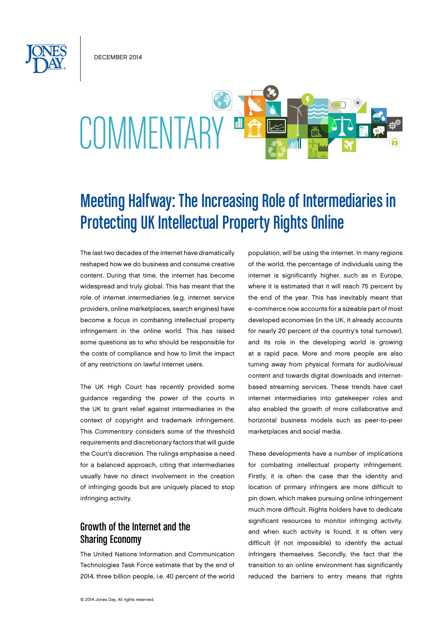December 2014

# COMMENTARY "

## Meeting Halfway: The Increasing Role of Intermediaries in Protecting UK Intellectual Property Rights Online

The last two decades of the internet have dramatically reshaped how we do business and consume creative content. During that time, the internet has become widespread and truly global. This has meant that the role of internet intermediaries (e.g. internet service providers, online marketplaces, search engines) have become a focus in combating intellectual property infringement in the online world. This has raised some questions as to who should be responsible for the costs of compliance and how to limit the impact of any restrictions on lawful internet users.

The UK High Court has recently provided some guidance regarding the power of the courts in the UK to grant relief against intermediaries in the context of copyright and trademark infringement. This *Commentary* considers some of the threshold requirements and discretionary factors that will guide the Court's discretion. The rulings emphasise a need for a balanced approach, citing that intermediaries usually have no direct involvement in the creation of infringing goods but are uniquely placed to stop infringing activity.

### Growth of the Internet and the Sharing Economy

The United Nations Information and Communication Technologies Task Force estimate that by the end of 2014, three billion people, i.e. 40 percent of the world

© 2014 Jones Day. All rights reserved.

population, will be using the internet. In many regions of the world, the percentage of individuals using the internet is significantly higher, such as in Europe, where it is estimated that it will reach 75 percent by the end of the year. This has inevitably meant that e-commerce now accounts for a sizeable part of most developed economies (in the UK, it already accounts for nearly 20 percent of the country's total turnover), and its role in the developing world is growing at a rapid pace. More and more people are also turning away from physical formats for audio/visual content and towards digital downloads and internetbased streaming services. These trends have cast internet intermediaries into gatekeeper roles and also enabled the growth of more collaborative and horizontal business models such as peer-to-peer marketplaces and social media.

These developments have a number of implications for combating intellectual property infringement. Firstly, it is often the case that the identity and location of primary infringers are more difficult to pin down, which makes pursuing online infringement much more difficult. Rights holders have to dedicate significant resources to monitor infringing activity, and when such activity is found, it is often very difficult (if not impossible) to identify the actual infringers themselves. Secondly, the fact that the transition to an online environment has significantly reduced the barriers to entry means that rights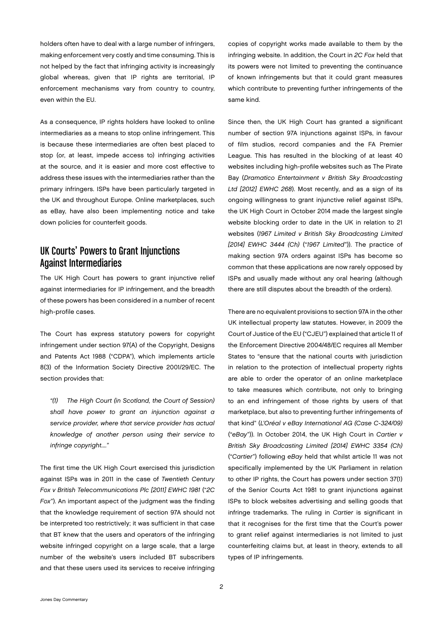holders often have to deal with a large number of infringers, making enforcement very costly and time consuming. This is not helped by the fact that infringing activity is increasingly global whereas, given that IP rights are territorial, IP enforcement mechanisms vary from country to country, even within the EU.

As a consequence, IP rights holders have looked to online intermediaries as a means to stop online infringement. This is because these intermediaries are often best placed to stop (or, at least, impede access to) infringing activities at the source, and it is easier and more cost effective to address these issues with the intermediaries rather than the primary infringers. ISPs have been particularly targeted in the UK and throughout Europe. Online marketplaces, such as eBay, have also been implementing notice and take down policies for counterfeit goods.

#### UK Courts' Powers to Grant Injunctions Against Intermediaries

The UK High Court has powers to grant injunctive relief against intermediaries for IP infringement, and the breadth of these powers has been considered in a number of recent high-profile cases.

The Court has express statutory powers for copyright infringement under section 97(A) of the Copyright, Designs and Patents Act 1988 ("CDPA"), which implements article 8(3) of the Information Society Directive 2001/29/EC. The section provides that:

*"(1) The High Court (in Scotland, the Court of Session) shall have power to grant an injunction against a service provider, where that service provider has actual knowledge of another person using their service to infringe copyright...."* 

The first time the UK High Court exercised this jurisdiction against ISPs was in 2011 in the case of *Twentieth Century Fox v British Telecommunications Plc [2011] EWHC 1981* ("*2C Fox*"). An important aspect of the judgment was the finding that the knowledge requirement of section 97A should not be interpreted too restrictively; it was sufficient in that case that BT knew that the users and operators of the infringing website infringed copyright on a large scale, that a large number of the website's users included BT subscribers and that these users used its services to receive infringing

copies of copyright works made available to them by the infringing website. In addition, the Court in *2C Fox* held that its powers were not limited to preventing the continuance of known infringements but that it could grant measures which contribute to preventing further infringements of the same kind.

Since then, the UK High Court has granted a significant number of section 97A injunctions against ISPs, in favour of film studios, record companies and the FA Premier League. This has resulted in the blocking of at least 40 websites including high-profile websites such as The Pirate Bay (*Dramatico Entertainment v British Sky Broadcasting Ltd [2012] EWHC 268*). Most recently, and as a sign of its ongoing willingness to grant injunctive relief against ISPs, the UK High Court in October 2014 made the largest single website blocking order to date in the UK in relation to 21 websites (*1967 Limited v British Sky Broadcasting Limited [2014] EWHC 3444 (Ch)* ("*1967 Limited*")). The practice of making section 97A orders against ISPs has become so common that these applications are now rarely opposed by ISPs and usually made without any oral hearing (although there are still disputes about the breadth of the orders).

There are no equivalent provisions to section 97A in the other UK intellectual property law statutes. However, in 2009 the Court of Justice of the EU ("CJEU") explained that article 11 of the Enforcement Directive 2004/48/EC requires all Member States to "ensure that the national courts with jurisdiction in relation to the protection of intellectual property rights are able to order the operator of an online marketplace to take measures which contribute, not only to bringing to an end infringement of those rights by users of that marketplace, but also to preventing further infringements of that kind" (*L'Oréal v eBay International AG (Case C-324/09)*  ("*eBay*")). In October 2014, the UK High Court in *Cartier v British Sky Broadcasting Limited [2014] EWHC 3354 (Ch)*  ("*Cartier*") following *eBay* held that whilst article 11 was not specifically implemented by the UK Parliament in relation to other IP rights, the Court has powers under section 37(1) of the Senior Courts Act 1981 to grant injunctions against ISPs to block websites advertising and selling goods that infringe trademarks. The ruling in *Cartier* is significant in that it recognises for the first time that the Court's power to grant relief against intermediaries is not limited to just counterfeiting claims but, at least in theory, extends to all types of IP infringements.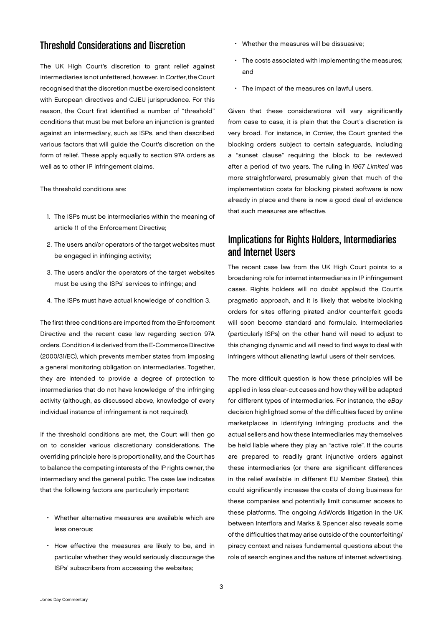#### Threshold Considerations and Discretion

The UK High Court's discretion to grant relief against intermediaries is not unfettered, however. In *Cartier*, the Court recognised that the discretion must be exercised consistent with European directives and CJEU jurisprudence. For this reason, the Court first identified a number of "threshold" conditions that must be met before an injunction is granted against an intermediary, such as ISPs, and then described various factors that will guide the Court's discretion on the form of relief. These apply equally to section 97A orders as well as to other IP infringement claims.

The threshold conditions are:

- 1. The ISPs must be intermediaries within the meaning of article 11 of the Enforcement Directive;
- 2. The users and/or operators of the target websites must be engaged in infringing activity;
- 3. The users and/or the operators of the target websites must be using the ISPs' services to infringe; and
- 4. The ISPs must have actual knowledge of condition 3.

The first three conditions are imported from the Enforcement Directive and the recent case law regarding section 97A orders. Condition 4 is derived from the E-Commerce Directive (2000/31/EC), which prevents member states from imposing a general monitoring obligation on intermediaries. Together, they are intended to provide a degree of protection to intermediaries that do not have knowledge of the infringing activity (although, as discussed above, knowledge of every individual instance of infringement is not required).

If the threshold conditions are met, the Court will then go on to consider various discretionary considerations. The overriding principle here is proportionality, and the Court has to balance the competing interests of the IP rights owner, the intermediary and the general public. The case law indicates that the following factors are particularly important:

- Whether alternative measures are available which are less onerous;
- • How effective the measures are likely to be, and in particular whether they would seriously discourage the ISPs' subscribers from accessing the websites;
- Whether the measures will be dissuasive;
- The costs associated with implementing the measures; and
- The impact of the measures on lawful users.

Given that these considerations will vary significantly from case to case, it is plain that the Court's discretion is very broad. For instance, in *Cartier*, the Court granted the blocking orders subject to certain safeguards, including a "sunset clause" requiring the block to be reviewed after a period of two years. The ruling in *1967 Limited* was more straightforward, presumably given that much of the implementation costs for blocking pirated software is now already in place and there is now a good deal of evidence that such measures are effective.

#### Implications for Rights Holders, Intermediaries and Internet Users

The recent case law from the UK High Court points to a broadening role for internet intermediaries in IP infringement cases. Rights holders will no doubt applaud the Court's pragmatic approach, and it is likely that website blocking orders for sites offering pirated and/or counterfeit goods will soon become standard and formulaic. Intermediaries (particularly ISPs) on the other hand will need to adjust to this changing dynamic and will need to find ways to deal with infringers without alienating lawful users of their services.

The more difficult question is how these principles will be applied in less clear-cut cases and how they will be adapted for different types of intermediaries. For instance, the *eBay*  decision highlighted some of the difficulties faced by online marketplaces in identifying infringing products and the actual sellers and how these intermediaries may themselves be held liable where they play an "active role". If the courts are prepared to readily grant injunctive orders against these intermediaries (or there are significant differences in the relief available in different EU Member States), this could significantly increase the costs of doing business for these companies and potentially limit consumer access to these platforms. The ongoing AdWords litigation in the UK between Interflora and Marks & Spencer also reveals some of the difficulties that may arise outside of the counterfeiting/ piracy context and raises fundamental questions about the role of search engines and the nature of internet advertising.